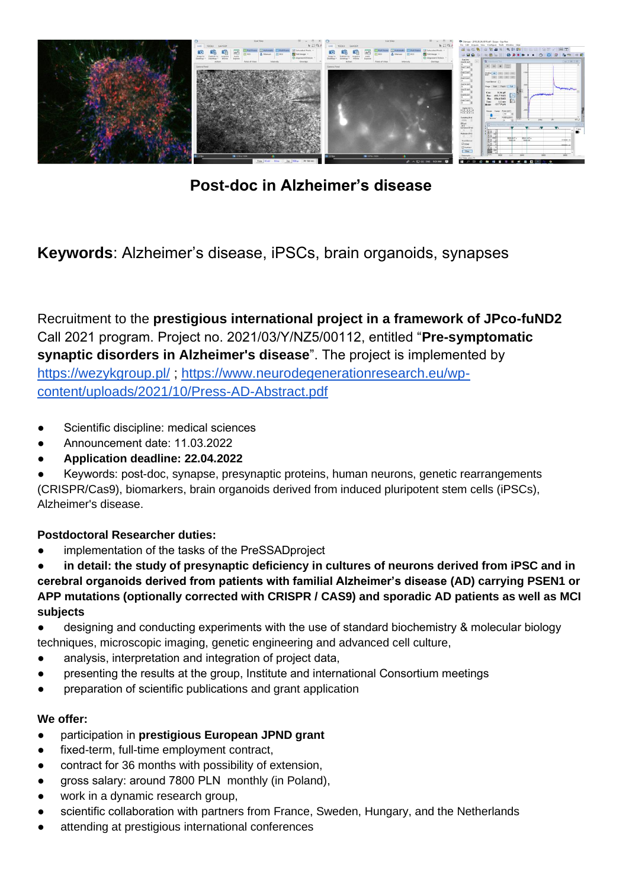

**Post-doc in Alzheimer's disease**

**Keywords**: Alzheimer's disease, iPSCs, brain organoids, synapses

Recruitment to the **prestigious international project in a framework of JPco-fuND2** Call 2021 program. Project no. 2021/03/Y/NZ5/00112, entitled "**Pre-symptomatic synaptic disorders in Alzheimer's disease**". The project is implemented by <https://wezykgroup.pl/> ; [https://www.neurodegenerationresearch.eu/wp](https://www.neurodegenerationresearch.eu/wp-content/uploads/2021/10/Press-AD-Abstract.pdf)[content/uploads/2021/10/Press-AD-Abstract.pdf](https://www.neurodegenerationresearch.eu/wp-content/uploads/2021/10/Press-AD-Abstract.pdf)

- Scientific discipline: medical sciences
- Announcement date: 11.03.2022
- **Application deadline: 22.04.2022**

Keywords: post-doc, synapse, presynaptic proteins, human neurons, genetic rearrangements (CRISPR/Cas9), biomarkers, brain organoids derived from induced pluripotent stem cells (iPSCs), Alzheimer's disease.

# **Postdoctoral Researcher duties:**

implementation of the tasks of the PreSSADproject

in detail: the study of presynaptic deficiency in cultures of neurons derived from iPSC and in **cerebral organoids derived from patients with familial Alzheimer's disease (AD) carrying PSEN1 or APP mutations (optionally corrected with CRISPR / CAS9) and sporadic AD patients as well as MCI subjects**

- designing and conducting experiments with the use of standard biochemistry & molecular biology techniques, microscopic imaging, genetic engineering and advanced cell culture,
- analysis, interpretation and integration of project data,
- presenting the results at the group, Institute and international Consortium meetings
- preparation of scientific publications and grant application

## **We offer:**

- participation in **prestigious European JPND grant**
- fixed-term, full-time employment contract,
- contract for 36 months with possibility of extension,
- gross salary: around 7800 PLN monthly (in Poland),
- work in a dynamic research group,
- scientific collaboration with partners from France, Sweden, Hungary, and the Netherlands
- attending at prestigious international conferences